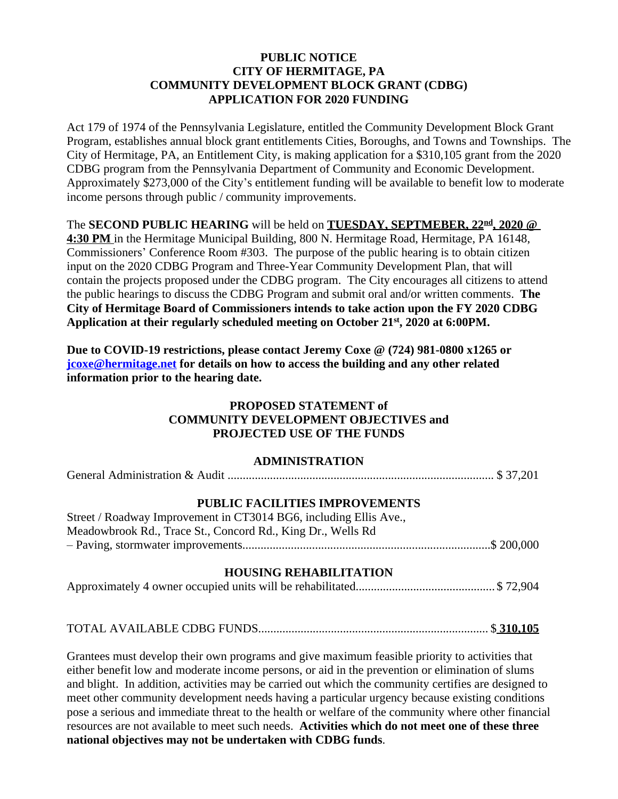### **PUBLIC NOTICE CITY OF HERMITAGE, PA COMMUNITY DEVELOPMENT BLOCK GRANT (CDBG) APPLICATION FOR 2020 FUNDING**

Act 179 of 1974 of the Pennsylvania Legislature, entitled the Community Development Block Grant Program, establishes annual block grant entitlements Cities, Boroughs, and Towns and Townships. The City of Hermitage, PA, an Entitlement City, is making application for a \$310,105 grant from the 2020 CDBG program from the Pennsylvania Department of Community and Economic Development. Approximately \$273,000 of the City's entitlement funding will be available to benefit low to moderate income persons through public / community improvements.

The **SECOND PUBLIC HEARING** will be held on **TUESDAY, SEPTMEBER, 22nd , 2020 @ 4:30 PM** in the Hermitage Municipal Building, 800 N. Hermitage Road, Hermitage, PA 16148, Commissioners' Conference Room #303. The purpose of the public hearing is to obtain citizen input on the 2020 CDBG Program and Three-Year Community Development Plan, that will contain the projects proposed under the CDBG program. The City encourages all citizens to attend the public hearings to discuss the CDBG Program and submit oral and/or written comments. **The City of Hermitage Board of Commissioners intends to take action upon the FY 2020 CDBG Application at their regularly scheduled meeting on October 21 st , 2020 at 6:00PM.**

**Due to COVID-19 restrictions, please contact Jeremy Coxe @ (724) 981-0800 x1265 or [jcoxe@hermitage.net](mailto:jcoxe@hermitage.net) for details on how to access the building and any other related information prior to the hearing date.**

### **PROPOSED STATEMENT of COMMUNITY DEVELOPMENT OBJECTIVES and PROJECTED USE OF THE FUNDS**

# **ADMINISTRATION**

| <b>PUBLIC FACILITIES IMPROVEMENTS</b> |  |
|---------------------------------------|--|

| Street / Roadway Improvement in CT3014 BG6, including Ellis Ave., |  |
|-------------------------------------------------------------------|--|
| Meadowbrook Rd., Trace St., Concord Rd., King Dr., Wells Rd       |  |
|                                                                   |  |

# **HOUSING REHABILITATION**

|--|--|--|--|

# TOTAL AVAILABLE CDBG FUNDS............................................................................ \$ **310,105**

Grantees must develop their own programs and give maximum feasible priority to activities that either benefit low and moderate income persons, or aid in the prevention or elimination of slums and blight. In addition, activities may be carried out which the community certifies are designed to meet other community development needs having a particular urgency because existing conditions pose a serious and immediate threat to the health or welfare of the community where other financial resources are not available to meet such needs. **Activities which do not meet one of these three national objectives may not be undertaken with CDBG funds**.